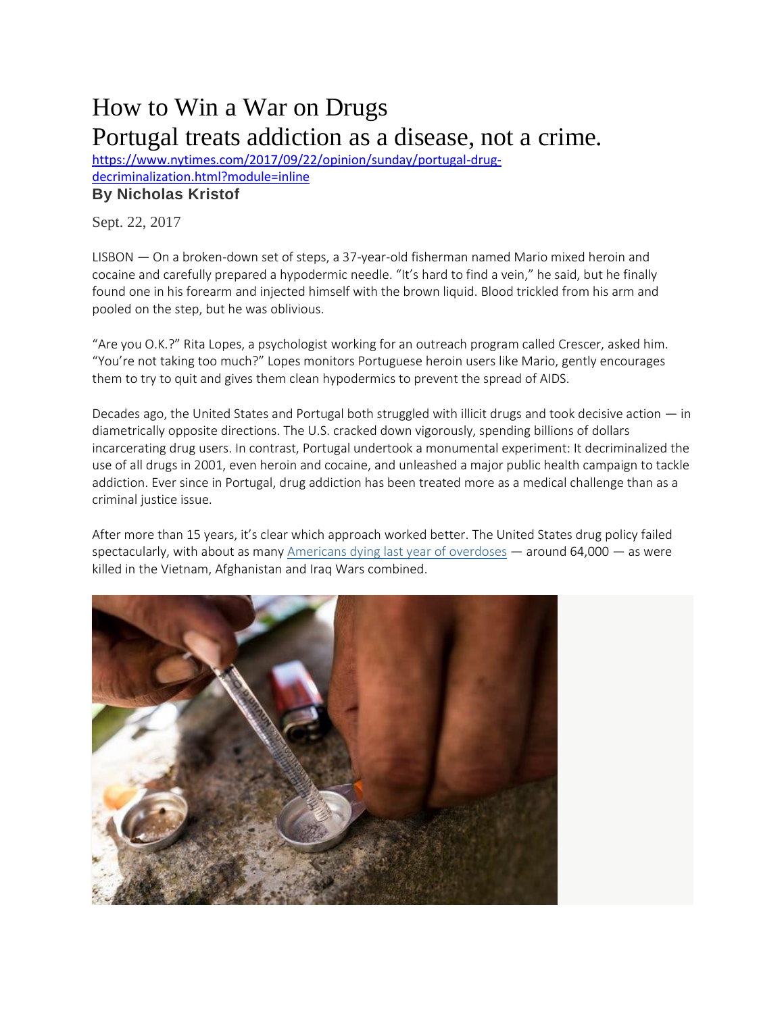## How to Win a War on Drugs Portugal treats addiction as a disease, not a crime.

[https://www.nytimes.com/2017/09/22/opinion/sunday/portugal-drug](https://www.nytimes.com/2017/09/22/opinion/sunday/portugal-drug-decriminalization.html?module=inline)[decriminalization.html?module=inline](https://www.nytimes.com/2017/09/22/opinion/sunday/portugal-drug-decriminalization.html?module=inline) **By [Nicholas](http://www.nytimes.com/column/nicholas-kristof) Kristof**

Sept. 22, 2017

LISBON — On a broken-down set of steps, a 37-year-old fisherman named Mario mixed heroin and cocaine and carefully prepared a hypodermic needle. "It's hard to find a vein," he said, but he finally found one in his forearm and injected himself with the brown liquid. Blood trickled from his arm and pooled on the step, but he was oblivious.

"Are you O.K.?" Rita Lopes, a psychologist working for an outreach program called Crescer, asked him. "You're not taking too much?" Lopes monitors Portuguese heroin users like Mario, gently encourages them to try to quit and gives them clean hypodermics to prevent the spread of AIDS.

Decades ago, the United States and Portugal both struggled with illicit drugs and took decisive action — in diametrically opposite directions. The U.S. cracked down vigorously, spending billions of dollars incarcerating drug users. In contrast, Portugal undertook a monumental experiment: It decriminalized the use of all drugs in 2001, even heroin and cocaine, and unleashed a major public health campaign to tackle addiction. Ever since in Portugal, drug addiction has been treated more as a medical challenge than as a criminal justice issue.

After more than 15 years, it's clear which approach worked better. The United States drug policy failed spectacularly, with about as many [Americans](https://www.nytimes.com/interactive/2017/09/02/upshot/fentanyl-drug-overdose-deaths.html?mcubz=3&module=inline) dying last year of overdoses — around 64,000 — as were killed in the Vietnam, Afghanistan and Iraq Wars combined.

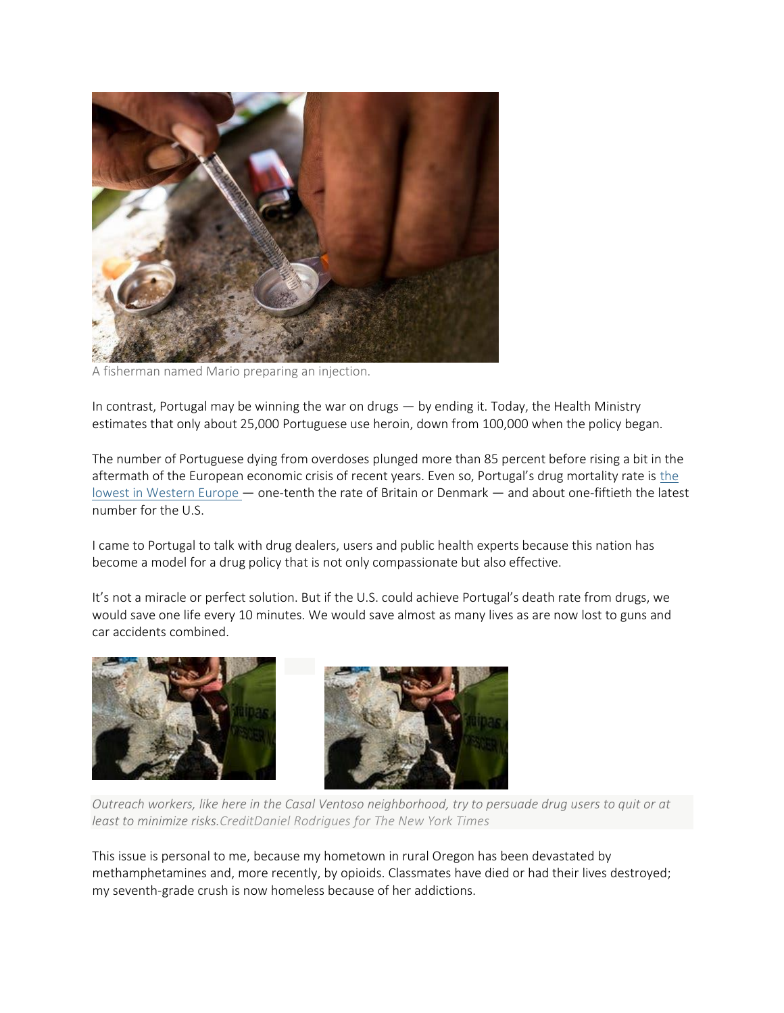

A fisherman named Mario preparing an injection.

In contrast, Portugal may be winning the war on drugs — by ending it. Today, the Health Ministry estimates that only about 25,000 Portuguese use heroin, down from 100,000 when the policy began.

The number of Portuguese dying from overdoses plunged more than 85 percent before rising a bit in the aftermath of [the](http://www.emcdda.europa.eu/system/files/publications/4541/TDAT17001ENN.pdf_en) European economic crisis of recent years. Even so, Portugal's drug mortality rate is the lowest in [Western](http://www.emcdda.europa.eu/system/files/publications/4541/TDAT17001ENN.pdf_en) Europe — one-tenth the rate of Britain or Denmark — and about one-fiftieth the latest number for the U.S.

I came to Portugal to talk with drug dealers, users and public health experts because this nation has become a model for a drug policy that is not only compassionate but also effective.

It's not a miracle or perfect solution. But if the U.S. could achieve Portugal's death rate from drugs, we would save one life every 10 minutes. We would save almost as many lives as are now lost to guns and car accidents combined.



Outreach workers, like here in the Casal Ventoso neighborhood, try to persuade drug users to quit or at *least to minimize risks.CreditDaniel Rodrigues for The New York Times*

This issue is personal to me, because my hometown in rural Oregon has been devastated by methamphetamines and, more recently, by opioids. Classmates have died or had their lives destroyed; my seventh-grade crush is now homeless because of her addictions.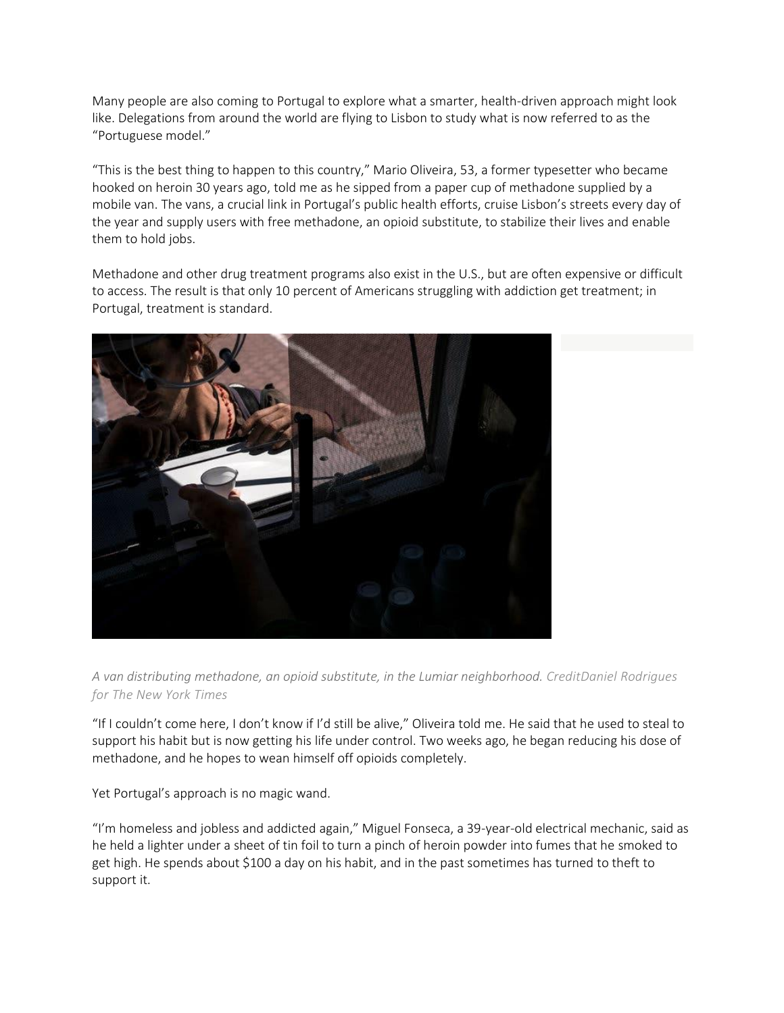Many people are also coming to Portugal to explore what a smarter, health-driven approach might look like. Delegations from around the world are flying to Lisbon to study what is now referred to as the "Portuguese model."

"This is the best thing to happen to this country," Mario Oliveira, 53, a former typesetter who became hooked on heroin 30 years ago, told me as he sipped from a paper cup of methadone supplied by a mobile van. The vans, a crucial link in Portugal's public health efforts, cruise Lisbon's streets every day of the year and supply users with free methadone, an opioid substitute, to stabilize their lives and enable them to hold jobs.

Methadone and other drug treatment programs also exist in the U.S., but are often expensive or difficult to access. The result is that only 10 percent of Americans struggling with addiction get treatment; in Portugal, treatment is standard.



*A van distributing methadone, an opioid substitute, in the Lumiar neighborhood. CreditDaniel Rodrigues for The New York Times*

"If I couldn't come here, I don't know if I'd still be alive," Oliveira told me. He said that he used to steal to support his habit but is now getting his life under control. Two weeks ago, he began reducing his dose of methadone, and he hopes to wean himself off opioids completely.

Yet Portugal's approach is no magic wand.

"I'm homeless and jobless and addicted again," Miguel Fonseca, a 39-year-old electrical mechanic, said as he held a lighter under a sheet of tin foil to turn a pinch of heroin powder into fumes that he smoked to get high. He spends about \$100 a day on his habit, and in the past sometimes has turned to theft to support it.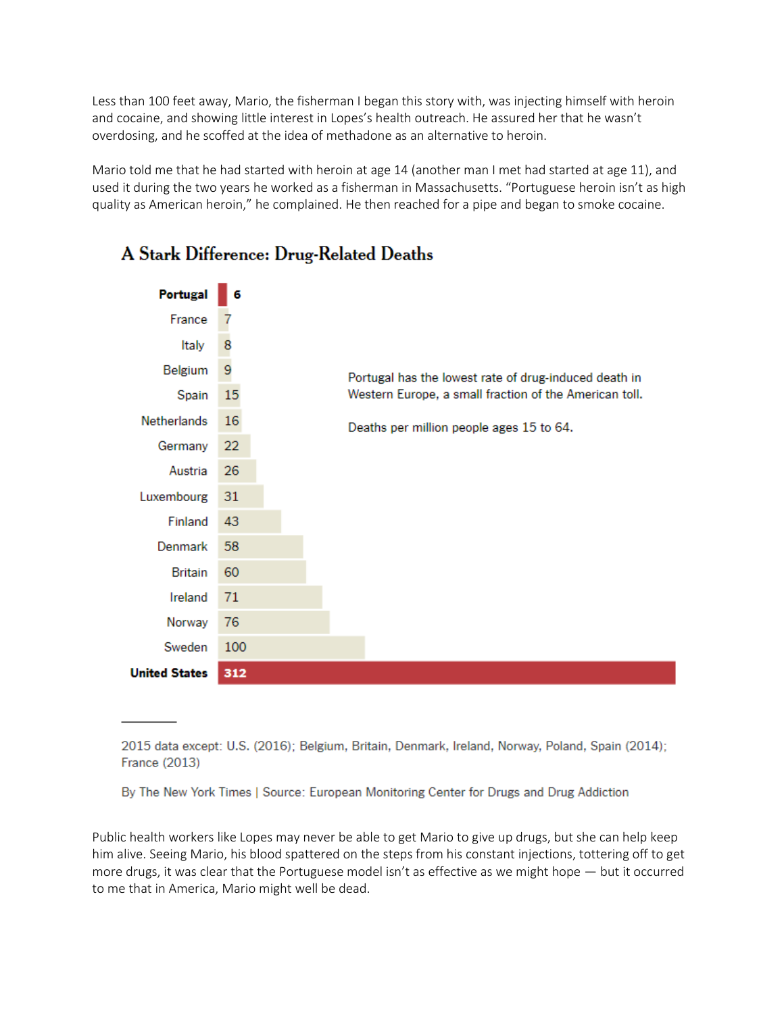Less than 100 feet away, Mario, the fisherman I began this story with, was injecting himself with heroin and cocaine, and showing little interest in Lopes's health outreach. He assured her that he wasn't overdosing, and he scoffed at the idea of methadone as an alternative to heroin.

Mario told me that he had started with heroin at age 14 (another man I met had started at age 11), and used it during the two years he worked as a fisherman in Massachusetts. "Portuguese heroin isn't as high quality as American heroin," he complained. He then reached for a pipe and began to smoke cocaine.



## A Stark Difference: Drug-Related Deaths

2015 data except: U.S. (2016); Belgium, Britain, Denmark, Ireland, Norway, Poland, Spain (2014); **France (2013)** 

By The New York Times | Source: European Monitoring Center for Drugs and Drug Addiction

Public health workers like Lopes may never be able to get Mario to give up drugs, but she can help keep him alive. Seeing Mario, his blood spattered on the steps from his constant injections, tottering off to get more drugs, it was clear that the Portuguese model isn't as effective as we might hope — but it occurred to me that in America, Mario might well be dead.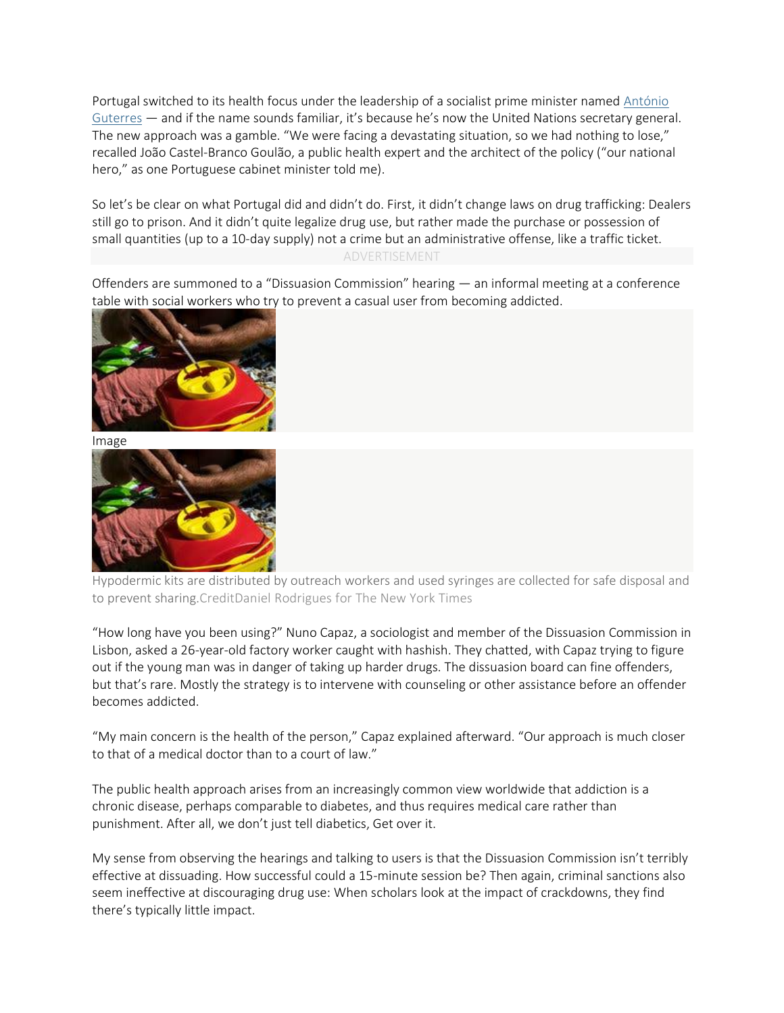Portugal switched to its health focus under the leadership of a socialist prime minister named [António](http://topics.nytimes.com/top/reference/timestopics/people/g/antonio_guterres/index.html?mcubz=1) [Guterres](http://topics.nytimes.com/top/reference/timestopics/people/g/antonio_guterres/index.html?mcubz=1) — and if the name sounds familiar, it's because he's now the United Nations secretary general. The new approach was a gamble. "We were facing a devastating situation, so we had nothing to lose," recalled João Castel-Branco Goulão, a public health expert and the architect of the policy ("our national hero," as one Portuguese cabinet minister told me).

So let's be clear on what Portugal did and didn't do. First, it didn't change laws on drug trafficking: Dealers still go to prison. And it didn't quite legalize drug use, but rather made the purchase or possession of small quantities (up to a 10-day supply) not a crime but an administrative offense, like a traffic ticket.

## ADVERTISEMENT

Offenders are summoned to a "Dissuasion Commission" hearing — an informal meeting at a conference table with social workers who try to prevent a casual user from becoming addicted.



Image



Hypodermic kits are distributed by outreach workers and used syringes are collected for safe disposal and to prevent sharing.CreditDaniel Rodrigues for The New York Times

"How long have you been using?" Nuno Capaz, a sociologist and member of the Dissuasion Commission in Lisbon, asked a 26-year-old factory worker caught with hashish. They chatted, with Capaz trying to figure out if the young man was in danger of taking up harder drugs. The dissuasion board can fine offenders, but that's rare. Mostly the strategy is to intervene with counseling or other assistance before an offender becomes addicted.

"My main concern is the health of the person," Capaz explained afterward. "Our approach is much closer to that of a medical doctor than to a court of law."

The public health approach arises from an increasingly common view worldwide that addiction is a chronic disease, perhaps comparable to diabetes, and thus requires medical care rather than punishment. After all, we don't just tell diabetics, Get over it.

My sense from observing the hearings and talking to users is that the Dissuasion Commission isn't terribly effective at dissuading. How successful could a 15-minute session be? Then again, criminal sanctions also seem ineffective at discouraging drug use: When scholars look at the impact of crackdowns, they find there's typically little impact.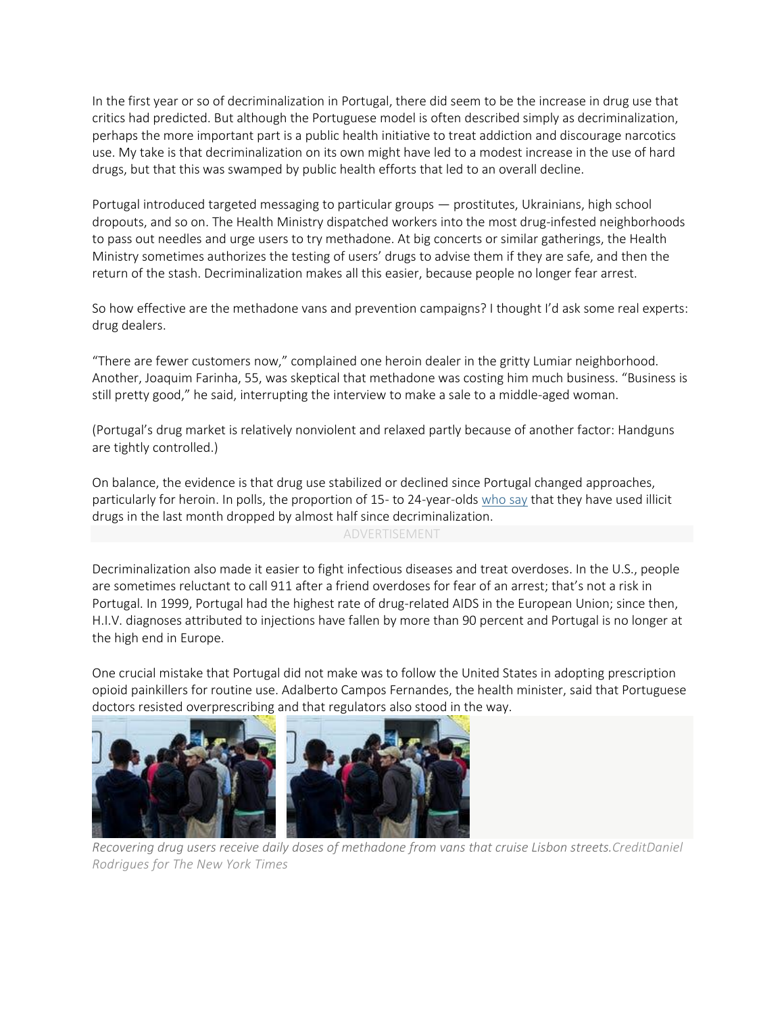In the first year or so of decriminalization in Portugal, there did seem to be the increase in drug use that critics had predicted. But although the Portuguese model is often described simply as decriminalization, perhaps the more important part is a public health initiative to treat addiction and discourage narcotics use. My take is that decriminalization on its own might have led to a modest increase in the use of hard drugs, but that this was swamped by public health efforts that led to an overall decline.

Portugal introduced targeted messaging to particular groups — prostitutes, Ukrainians, high school dropouts, and so on. The Health Ministry dispatched workers into the most drug-infested neighborhoods to pass out needles and urge users to try methadone. At big concerts or similar gatherings, the Health Ministry sometimes authorizes the testing of users' drugs to advise them if they are safe, and then the return of the stash. Decriminalization makes all this easier, because people no longer fear arrest.

So how effective are the methadone vans and prevention campaigns? I thought I'd ask some real experts: drug dealers.

"There are fewer customers now," complained one heroin dealer in the gritty Lumiar neighborhood. Another, Joaquim Farinha, 55, was skeptical that methadone was costing him much business. "Business is still pretty good," he said, interrupting the interview to make a sale to a middle-aged woman.

(Portugal's drug market is relatively nonviolent and relaxed partly because of another factor: Handguns are tightly controlled.)

On balance, the evidence is that drug use stabilized or declined since Portugal changed approaches, particularly for heroin. In polls, the proportion of 15- to 24-year-olds [who](http://www.tdpf.org.uk/blog/success-portugal%E2%80%99s-decriminalisation-policy-%E2%80%93-seven-charts) say that they have used illicit drugs in the last month dropped by almost half since decriminalization.

## ADVERTISEMENT

Decriminalization also made it easier to fight infectious diseases and treat overdoses. In the U.S., people are sometimes reluctant to call 911 after a friend overdoses for fear of an arrest; that's not a risk in Portugal. In 1999, Portugal had the highest rate of drug-related AIDS in the European Union; since then, H.I.V. diagnoses attributed to injections have fallen by more than 90 percent and Portugal is no longer at the high end in Europe.

One crucial mistake that Portugal did not make was to follow the United States in adopting prescription opioid painkillers for routine use. Adalberto Campos Fernandes, the health minister, said that Portuguese doctors resisted overprescribing and that regulators also stood in the way.



*Recovering drug users receive daily doses of methadone from vans that cruise Lisbon streets.CreditDaniel Rodrigues for The New York Times*